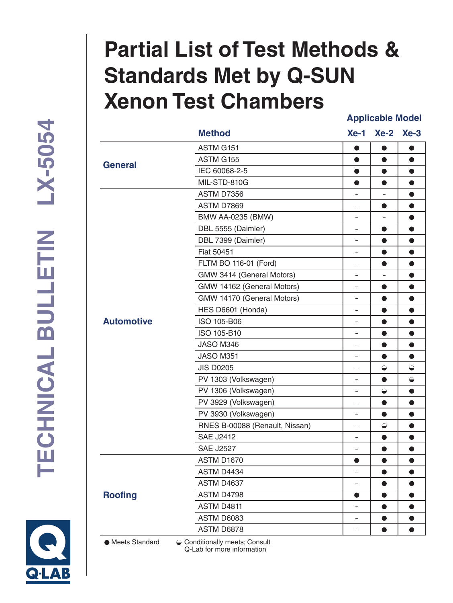# **Partial List of Test Methods & Standards Met by Q-SUN Xenon Test Chambers Applicable Model**

ASTM G151 ASTM G155

**Method Xe-1 Xe-2 Xe-3**

 $\bullet$ 

 $\bullet$ 

 $\bullet$ 

 $\bullet$ 

 $\bullet$ 

 $\bullet$ 

 $\bullet$ 

 $\overline{a}$ 

 $\bullet$ 

| <b>General</b>    | טטו שוויטת                     |                          |            |             |
|-------------------|--------------------------------|--------------------------|------------|-------------|
|                   | IEC 60068-2-5                  | $\bullet$                | ●          | $\bullet$   |
|                   | MIL-STD-810G                   | $\bullet$                | $\bullet$  | $\bullet$   |
|                   | ASTM D7356                     |                          |            | $\bullet$   |
|                   | ASTM D7869                     |                          | $\bullet$  | $\bullet$   |
|                   | BMW AA-0235 (BMW)              |                          |            | $\bullet$   |
|                   | DBL 5555 (Daimler)             | $\overline{\phantom{0}}$ | 0          | $\bullet$   |
|                   | DBL 7399 (Daimler)             | -                        | $\bullet$  | $\bullet$   |
|                   | <b>Fiat 50451</b>              |                          | $\bullet$  | $\bullet$   |
|                   | FLTM BO 116-01 (Ford)          | -                        |            | $\bullet$   |
|                   | GMW 3414 (General Motors)      |                          |            | $\bullet$   |
|                   | GMW 14162 (General Motors)     | ÷,                       | $\bullet$  | $\bullet$   |
|                   | GMW 14170 (General Motors)     | $\overline{\phantom{0}}$ | $\bullet$  | $\bullet$   |
|                   | HES D6601 (Honda)              |                          | ●          | $\bullet$   |
| <b>Automotive</b> | ISO 105-B06                    | $\overline{\phantom{0}}$ |            | $\bullet$   |
|                   | ISO 105-B10                    |                          | $\bullet$  | $\bullet$   |
|                   | JASO M346                      | ÷                        | $\bullet$  | $\bullet$   |
|                   | JASO M351                      | -                        | $\bullet$  | $\bullet$   |
|                   | <b>JIS D0205</b>               |                          | $\ominus$  | $\bigoplus$ |
|                   | PV 1303 (Volkswagen)           | $\overline{\phantom{0}}$ |            | $\bigodot$  |
|                   | PV 1306 (Volkswagen)           | L.                       | $\ominus$  | $\bullet$   |
|                   | PV 3929 (Volkswagen)           |                          | $\bullet$  | $\bullet$   |
|                   | PV 3930 (Volkswagen)           | -                        |            | $\bullet$   |
|                   | RNES B-00088 (Renault, Nissan) |                          | $\bigcirc$ | $\bullet$   |
|                   | <b>SAE J2412</b>               | $\overline{\phantom{0}}$ | ●          | $\bullet$   |
|                   | <b>SAE J2527</b>               | $\equiv$                 | $\bullet$  | $\bullet$   |
| <b>Roofing</b>    | ASTM D1670                     | $\bullet$                | $\bullet$  | $\bullet$   |
|                   | ASTM D4434                     | -                        | $\bullet$  | $\bullet$   |
|                   | ASTM D4637                     | $\equiv$                 | $\bullet$  | $\bullet$   |
|                   | ASTM D4798                     | $\bullet$                | $\bullet$  | $\bullet$   |
|                   | ASTM D4811                     | ÷                        | $\bullet$  | $\bullet$   |
|                   | ASTM D6083                     |                          |            | $\bullet$   |

● Meets Standard 
<br> **● Conditionally meets; Consult** Q-Lab for more information

ASTM D6878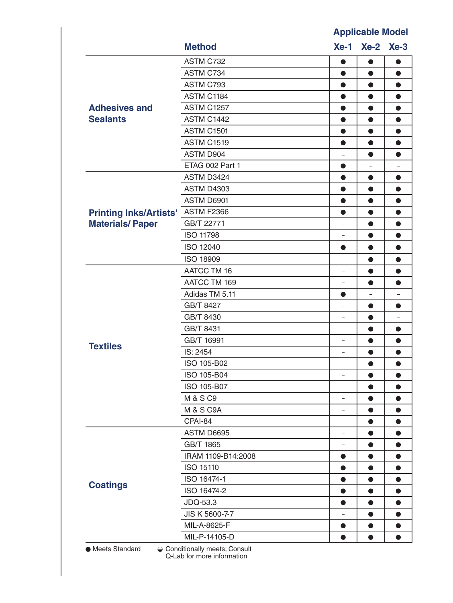### **Applicable Model**

|                                   | <b>Method</b>        |                          | Xe-1 Xe-2 Xe-3 |           |
|-----------------------------------|----------------------|--------------------------|----------------|-----------|
|                                   | ASTM C732            |                          | O              | œ         |
|                                   | ASTM C734            | $\bullet$                | $\bullet$      | $\bullet$ |
|                                   | ASTM C793            | $\bullet$                | $\bullet$      | $\bullet$ |
|                                   | ASTM C1184           | $\bullet$                | $\bullet$      | $\bullet$ |
| <b>Adhesives and</b>              | <b>ASTM C1257</b>    |                          | 0              | $\bullet$ |
| <b>Sealants</b>                   | ASTM C1442           | $\bullet$                | $\bullet$      | $\bullet$ |
|                                   | <b>ASTM C1501</b>    | $\bullet$                | $\bullet$      | $\bullet$ |
|                                   | <b>ASTM C1519</b>    | ●                        | $\bullet$      | $\bullet$ |
|                                   | ASTM D904            |                          | $\bullet$      | $\bullet$ |
|                                   | ETAG 002 Part 1      | $\bullet$                |                |           |
|                                   | ASTM D3424           | $\bullet$                | $\bullet$      | $\bullet$ |
|                                   | <b>ASTM D4303</b>    | $\bullet$                | $\bullet$      | $\bullet$ |
|                                   | ASTM D6901           | $\bullet$                | $\bullet$      | $\bullet$ |
| Printing Inks/Artists' ASTM F2366 |                      | $\bullet$                | $\bullet$      | $\bullet$ |
| <b>Materials/Paper</b>            | GB/T 22771           | -                        | $\bullet$      | $\bullet$ |
|                                   | <b>ISO 11798</b>     |                          | 0              | 0         |
|                                   | <b>ISO 12040</b>     | $\bullet$                | $\bullet$      | $\bullet$ |
|                                   | <b>ISO 18909</b>     | $\overline{\phantom{0}}$ | $\bullet$      | $\bullet$ |
|                                   | <b>AATCC TM 16</b>   |                          | $\bullet$      | $\bullet$ |
|                                   | AATCC TM 169         | ÷                        | $\bullet$      | $\bullet$ |
|                                   | Adidas TM 5.11       | $\bullet$                | ÷              |           |
|                                   | GB/T 8427            | -                        | $\bullet$      | $\bullet$ |
|                                   | GB/T 8430            | -                        | $\bullet$      |           |
|                                   | GB/T 8431            |                          | 0              | $\bullet$ |
|                                   | GB/T 16991           | ÷                        | $\bullet$      | $\bullet$ |
| <b>Textiles</b>                   | IS: 2454             | $\equiv$                 | $\bullet$      | $\bullet$ |
|                                   | ISO 105-B02          | -                        | 0              |           |
|                                   | ISO 105-B04          | Ξ.                       | $\bullet$      | $\bullet$ |
|                                   | ISO 105-B07          | -                        | $\bullet$      | $\bullet$ |
|                                   | M & S C9             |                          | $\bullet$      | $\bullet$ |
|                                   | <b>M &amp; S C9A</b> | -                        | $\bullet$      | $\bullet$ |
|                                   | CPAI-84              |                          | $\bullet$      | $\bullet$ |
|                                   | ASTM D6695           | $\equiv$                 | $\bullet$      | $\bullet$ |
|                                   | GB/T 1865            | -                        | $\bullet$      | $\bullet$ |
|                                   | IRAM 1109-B14:2008   | $\bullet$                | $\bullet$      | $\bullet$ |
|                                   | ISO 15110            | $\bullet$                | $\bullet$      | $\bullet$ |
|                                   | ISO 16474-1          | $\bullet$                | $\bullet$      | $\bullet$ |
| <b>Coatings</b>                   | ISO 16474-2          | $\bullet$                | $\bullet$      | $\bullet$ |
|                                   | JDQ-53.3             | $\bullet$                | $\bullet$      | $\bullet$ |
|                                   | JIS K 5600-7-7       |                          | 0              | $\bullet$ |
|                                   | MIL-A-8625-F         | $\bullet$                | $\bullet$      | $\bullet$ |
|                                   | MIL-P-14105-D        |                          |                |           |

Q-Lab for more information